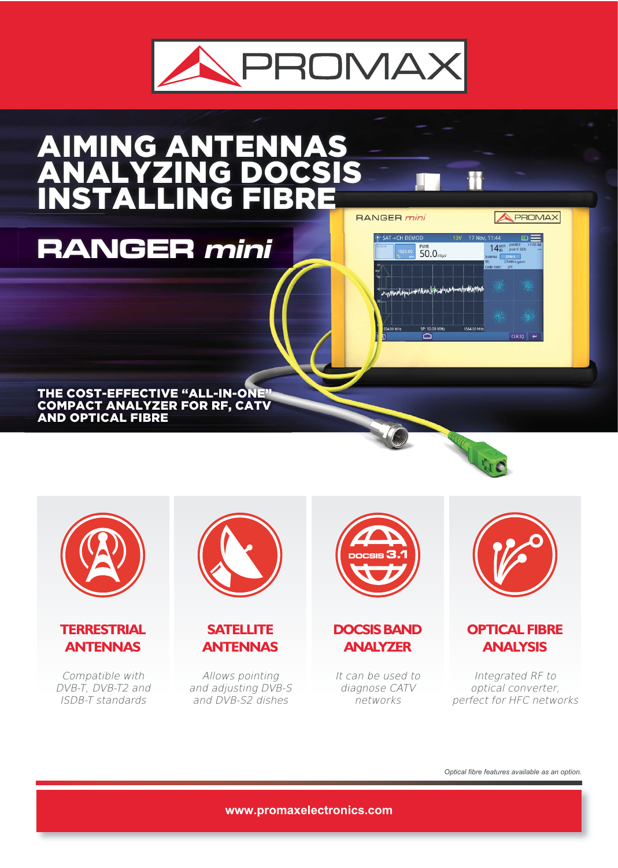

### AIMING ANTENNAS ANALYZING DOCSIS INSTALLING FIBRE RANGER mini

THE COST-EFFECTIVE "ALL-IN-ONE" COMPACT ANALYZER FOR RF, CATV AND OPTICAL FIBRE

**RANGER mini**



**TERRESTRIAL ANTENNAS**

Compatible with DVB-T, DVB-T2 and ISDB-T standards



**SATELLITE ANTENNAS**

Allows pointing and adjusting DVB-S and DVB-S2 dishes



**DOCSIS BAND ANALYZER**

It can be used to diagnose CATV networks



UNO

m

SAT -> CH DEMOD

 $50.0<sub>dB</sub>$ 

 $P: 10.00$ ⌒

www.phasel.phpal.inpr/lunn.jpphasel.net

**A PROMAX** 

 $\circ \equiv$ 

14MER PRESER:

 $27499$  ksym/s<br>te:  $3/4$ R:<br>.ode Rate:

#### **OPTICAL FIBRE ANALYSIS**

Integrated RF to optical converter, perfect for HFC networks

*Optical fibre features available as an option.*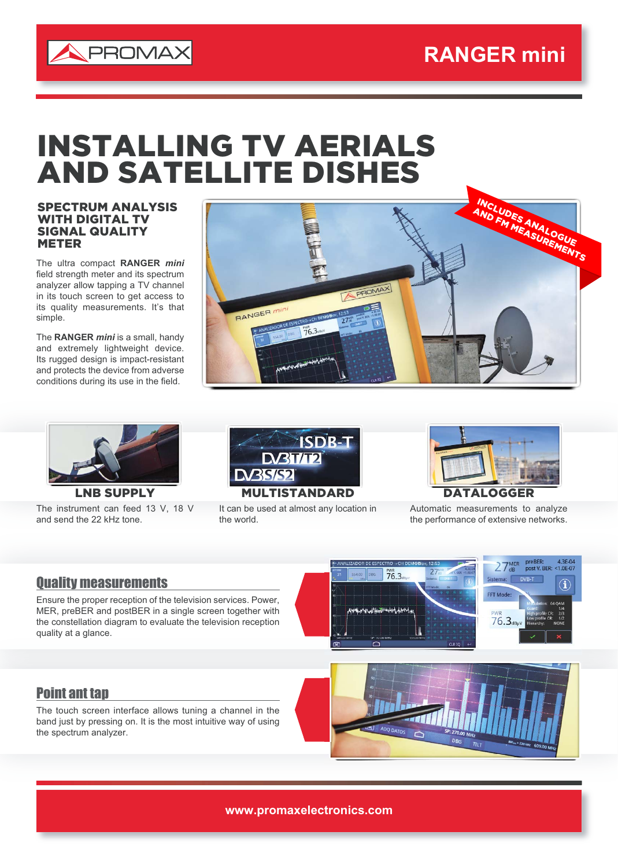

## INSTALLING TV AERIALS AND SATELLITE DISHES

SPECTRUM ANALYSIS WITH DIGITAL TV SIGNAL QUALITY **METER** 

The ultra compact **RANGER** *mini* field strength meter and its spectrum analyzer allow tapping a TV channel in its touch screen to get access to its quality measurements. It's that simple.

The **RANGER** *mini* is a small, handy and extremely lightweight device. Its rugged design is impact-resistant and protects the device from adverse conditions during its use in the field.





The instrument can feed 13 V, 18 V and send the 22 kHz tone.



It can be used at almost any location in the world.



Automatic measurements to analyze the performance of extensive networks.

 $27<sub>dB</sub><sup>MER</sup>$ 

preBER: 4.3E-04<br>post V. BER: <1.0E-07

#### Quality measurements

Ensure the proper reception of the television services. Power, MER, preBER and postBER in a single screen together with the constellation diagram to evaluate the television reception quality at a glance.

# **FFT Mod**  $76.3<sub>d</sub>$

 $76.3$ 

#### Point ant tap

The touch screen interface allows tuning a channel in the band just by pressing on. It is the most intuitive way of using the spectrum analyzer.

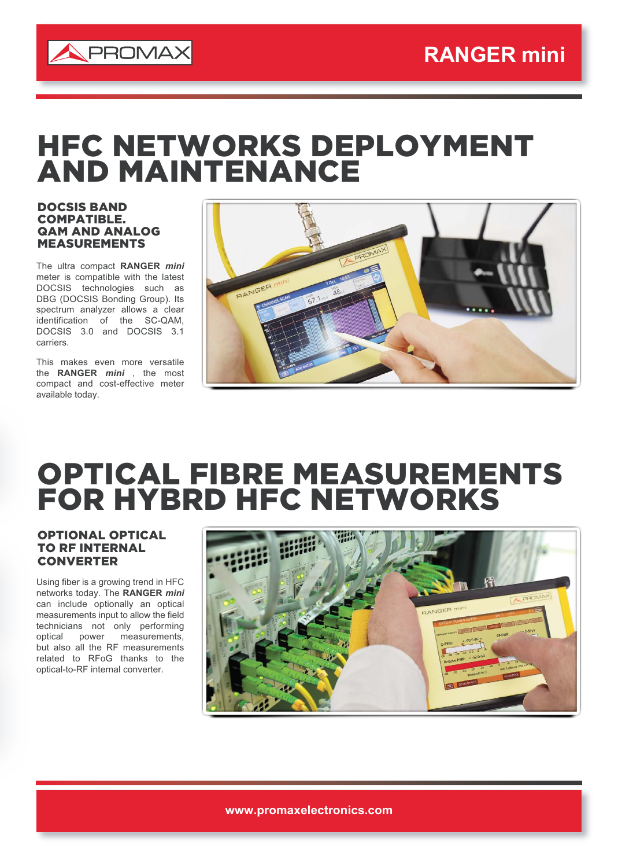

## HFC NETWORKS DEPLOYMENT AND MAINTENANCE

#### DOCSIS BAND COMPATIBLE. QAM AND ANALOG MEASUREMENTS

The ultra compact **RANGER** *mini* meter is compatible with the latest DOCSIS technologies such as DBG (DOCSIS Bonding Group). Its spectrum analyzer allows a clear identification of the SC-QAM, DOCSIS 3.0 and DOCSIS 3.1 carriers.

This makes even more versatile the **RANGER** *mini* , the most compact and cost-effective meter available today.



## OPTICAL FIBRE MEASUREMENTS FOR HYBRD HFC NETWORKS

#### OPTIONAL OPTICAL TO RF INTERNAL **CONVERTER**

Using fiber is a growing trend in HFC networks today. The **RANGER** *mini* can include optionally an optical measurements input to allow the field technicians not only performing optical power measurements, but also all the RF measurements related to RFoG thanks to the optical-to-RF internal converter.



**www.promaxelectronics.com**